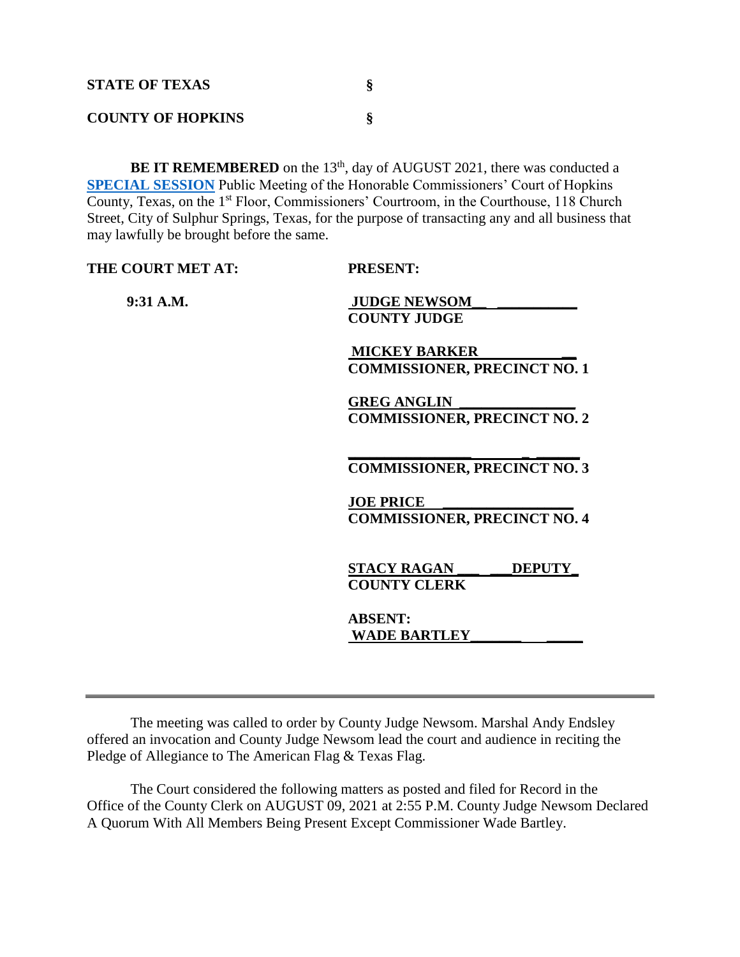| <b>STATE OF TEXAS</b>    |  |
|--------------------------|--|
| <b>COUNTY OF HOPKINS</b> |  |

BE IT REMEMBERED on the 13<sup>th</sup>, day of AUGUST 2021, there was conducted a **[SPECIAL SESSION](Links%202021-08-13-Special/Agenda_1.pdf)** Public Meeting of the Honorable Commissioners' Court of Hopkins County, Texas, on the 1st Floor, Commissioners' Courtroom, in the Courthouse, 118 Church Street, City of Sulphur Springs, Texas, for the purpose of transacting any and all business that may lawfully be brought before the same.

| THE COURT MET AT: | <b>PRESENT:</b>                     |
|-------------------|-------------------------------------|
| $9:31$ A.M.       | <b>JUDGE NEWSOM</b>                 |
|                   | <b>COUNTY JUDGE</b>                 |
|                   | <b>MICKEY BARKER</b>                |
|                   | <b>COMMISSIONER, PRECINCT NO. 1</b> |
|                   | <b>GREG ANGLIN</b>                  |
|                   | <b>COMMISSIONER, PRECINCT NO. 2</b> |
|                   |                                     |
|                   | <b>COMMISSIONER, PRECINCT NO. 3</b> |
|                   | <b>JOE PRICE</b>                    |
|                   | <b>COMMISSIONER, PRECINCT NO. 4</b> |
|                   | <b>STACY RAGAN</b><br><b>DEPUTY</b> |
|                   | <b>COUNTY CLERK</b>                 |
|                   | <b>ABSENT:</b>                      |
|                   | <b>WADE BARTLEY</b>                 |
|                   |                                     |

The meeting was called to order by County Judge Newsom. Marshal Andy Endsley offered an invocation and County Judge Newsom lead the court and audience in reciting the Pledge of Allegiance to The American Flag & Texas Flag.

The Court considered the following matters as posted and filed for Record in the Office of the County Clerk on AUGUST 09, 2021 at 2:55 P.M. County Judge Newsom Declared A Quorum With All Members Being Present Except Commissioner Wade Bartley.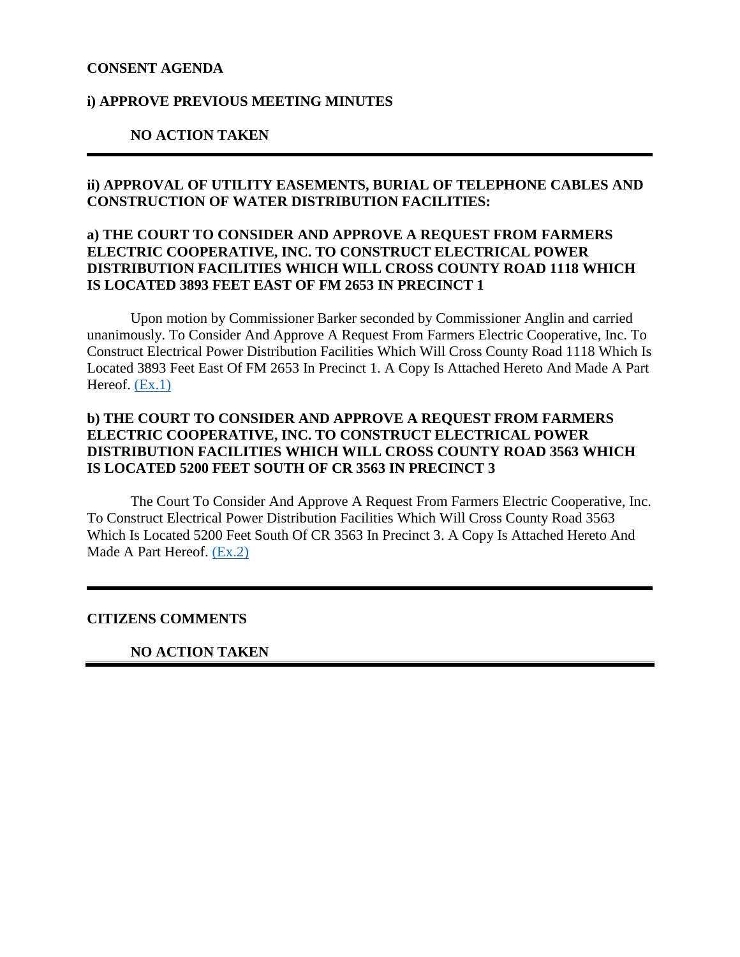### **CONSENT AGENDA**

### **i) APPROVE PREVIOUS MEETING MINUTES**

### **NO ACTION TAKEN**

# **ii) APPROVAL OF UTILITY EASEMENTS, BURIAL OF TELEPHONE CABLES AND CONSTRUCTION OF WATER DISTRIBUTION FACILITIES:**

# **a) THE COURT TO CONSIDER AND APPROVE A REQUEST FROM FARMERS ELECTRIC COOPERATIVE, INC. TO CONSTRUCT ELECTRICAL POWER DISTRIBUTION FACILITIES WHICH WILL CROSS COUNTY ROAD 1118 WHICH IS LOCATED 3893 FEET EAST OF FM 2653 IN PRECINCT 1**

Upon motion by Commissioner Barker seconded by Commissioner Anglin and carried unanimously. To Consider And Approve A Request From Farmers Electric Cooperative, Inc. To Construct Electrical Power Distribution Facilities Which Will Cross County Road 1118 Which Is Located 3893 Feet East Of FM 2653 In Precinct 1. A Copy Is Attached Hereto And Made A Part Hereof.  $(Ex.1)$ 

# **b) THE COURT TO CONSIDER AND APPROVE A REQUEST FROM FARMERS ELECTRIC COOPERATIVE, INC. TO CONSTRUCT ELECTRICAL POWER DISTRIBUTION FACILITIES WHICH WILL CROSS COUNTY ROAD 3563 WHICH IS LOCATED 5200 FEET SOUTH OF CR 3563 IN PRECINCT 3**

The Court To Consider And Approve A Request From Farmers Electric Cooperative, Inc. To Construct Electrical Power Distribution Facilities Which Will Cross County Road 3563 Which Is Located 5200 Feet South Of CR 3563 In Precinct 3. A Copy Is Attached Hereto And Made A Part Hereof. [\(Ex.2\)](Links%202021-08-13-Special/02%20FEC%20CR%203563_1.pdf)

### **CITIZENS COMMENTS**

#### **NO ACTION TAKEN**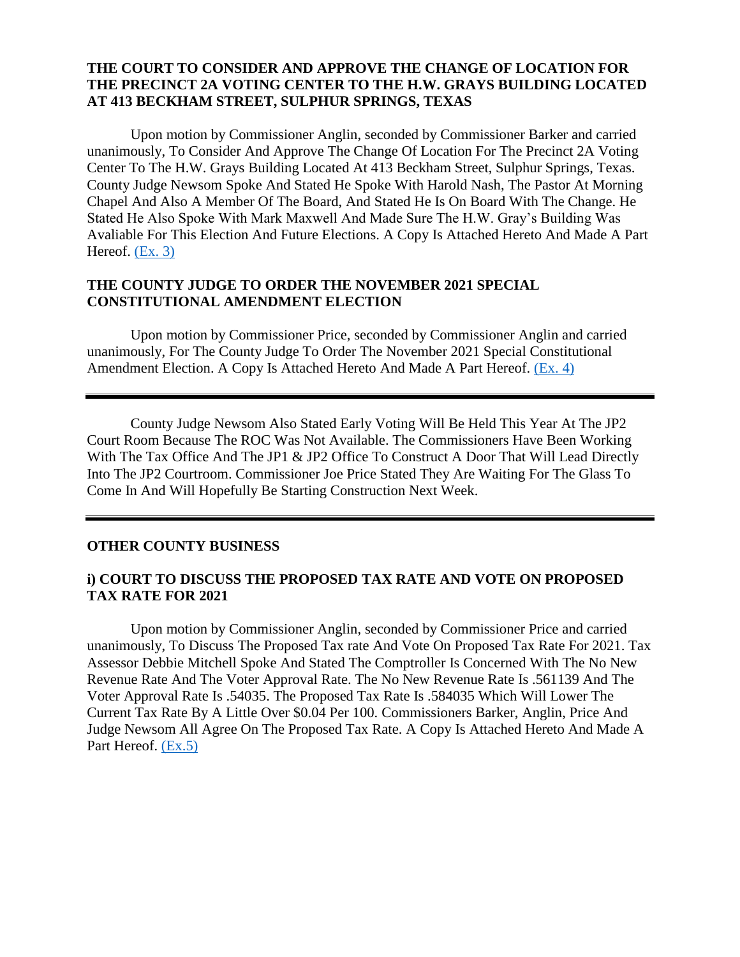# **THE COURT TO CONSIDER AND APPROVE THE CHANGE OF LOCATION FOR THE PRECINCT 2A VOTING CENTER TO THE H.W. GRAYS BUILDING LOCATED AT 413 BECKHAM STREET, SULPHUR SPRINGS, TEXAS**

Upon motion by Commissioner Anglin, seconded by Commissioner Barker and carried unanimously, To Consider And Approve The Change Of Location For The Precinct 2A Voting Center To The H.W. Grays Building Located At 413 Beckham Street, Sulphur Springs, Texas. County Judge Newsom Spoke And Stated He Spoke With Harold Nash, The Pastor At Morning Chapel And Also A Member Of The Board, And Stated He Is On Board With The Change. He Stated He Also Spoke With Mark Maxwell And Made Sure The H.W. Gray's Building Was Avaliable For This Election And Future Elections. A Copy Is Attached Hereto And Made A Part Hereof. [\(Ex. 3\)](Links%202021-08-13-Special/03%20Change%20of%20Location%20PCT%202A%20Voting%20Center_1.pdf)

### **THE COUNTY JUDGE TO ORDER THE NOVEMBER 2021 SPECIAL CONSTITUTIONAL AMENDMENT ELECTION**

Upon motion by Commissioner Price, seconded by Commissioner Anglin and carried unanimously, For The County Judge To Order The November 2021 Special Constitutional Amendment Election. A Copy Is Attached Hereto And Made A Part Hereof. [\(Ex. 4\)](Links%202021-08-13-Special/04%20Constitutional%20Amendment%20Election_1.pdf)

County Judge Newsom Also Stated Early Voting Will Be Held This Year At The JP2 Court Room Because The ROC Was Not Available. The Commissioners Have Been Working With The Tax Office And The JP1 & JP2 Office To Construct A Door That Will Lead Directly Into The JP2 Courtroom. Commissioner Joe Price Stated They Are Waiting For The Glass To Come In And Will Hopefully Be Starting Construction Next Week.

#### **OTHER COUNTY BUSINESS**

### **i) COURT TO DISCUSS THE PROPOSED TAX RATE AND VOTE ON PROPOSED TAX RATE FOR 2021**

Upon motion by Commissioner Anglin, seconded by Commissioner Price and carried unanimously, To Discuss The Proposed Tax rate And Vote On Proposed Tax Rate For 2021. Tax Assessor Debbie Mitchell Spoke And Stated The Comptroller Is Concerned With The No New Revenue Rate And The Voter Approval Rate. The No New Revenue Rate Is .561139 And The Voter Approval Rate Is .54035. The Proposed Tax Rate Is .584035 Which Will Lower The Current Tax Rate By A Little Over \$0.04 Per 100. Commissioners Barker, Anglin, Price And Judge Newsom All Agree On The Proposed Tax Rate. A Copy Is Attached Hereto And Made A Part Hereof. [\(Ex.5\)](Links%202021-08-13-Special/05%20Proposed%20Tax%20Rate_1.pdf)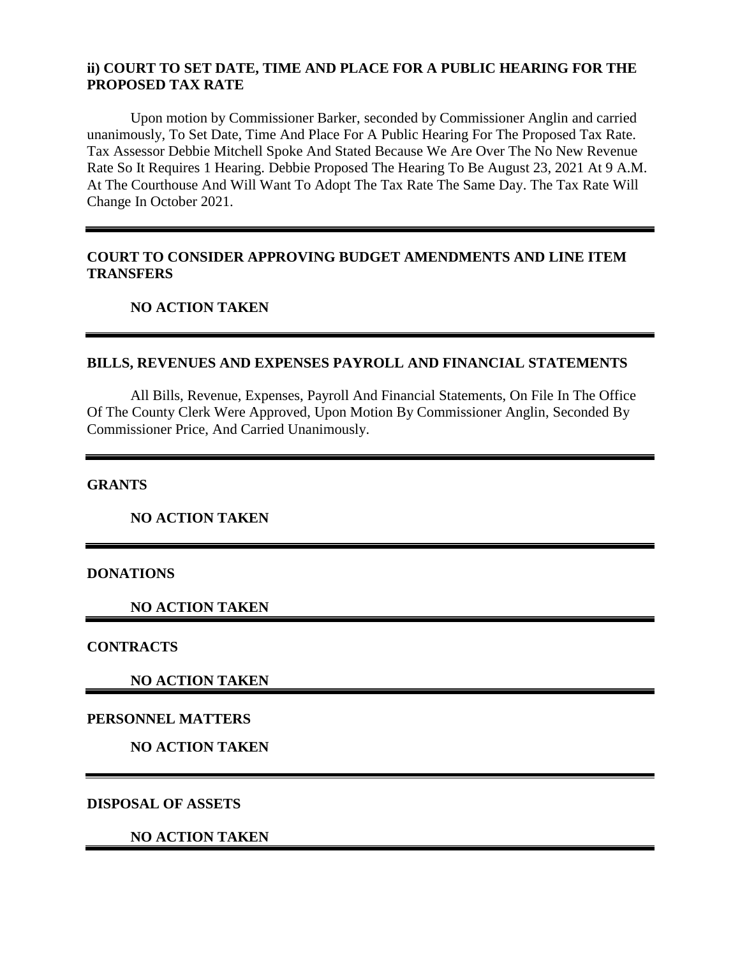# **ii) COURT TO SET DATE, TIME AND PLACE FOR A PUBLIC HEARING FOR THE PROPOSED TAX RATE**

Upon motion by Commissioner Barker, seconded by Commissioner Anglin and carried unanimously, To Set Date, Time And Place For A Public Hearing For The Proposed Tax Rate. Tax Assessor Debbie Mitchell Spoke And Stated Because We Are Over The No New Revenue Rate So It Requires 1 Hearing. Debbie Proposed The Hearing To Be August 23, 2021 At 9 A.M. At The Courthouse And Will Want To Adopt The Tax Rate The Same Day. The Tax Rate Will Change In October 2021.

# **COURT TO CONSIDER APPROVING BUDGET AMENDMENTS AND LINE ITEM TRANSFERS**

### **NO ACTION TAKEN**

# **BILLS, REVENUES AND EXPENSES PAYROLL AND FINANCIAL STATEMENTS**

All Bills, Revenue, Expenses, Payroll And Financial Statements, On File In The Office Of The County Clerk Were Approved, Upon Motion By Commissioner Anglin, Seconded By Commissioner Price, And Carried Unanimously.

**GRANTS**

**NO ACTION TAKEN**

### **DONATIONS**

**NO ACTION TAKEN**

**CONTRACTS**

**NO ACTION TAKEN**

### **PERSONNEL MATTERS**

**NO ACTION TAKEN**

**DISPOSAL OF ASSETS**

**NO ACTION TAKEN**